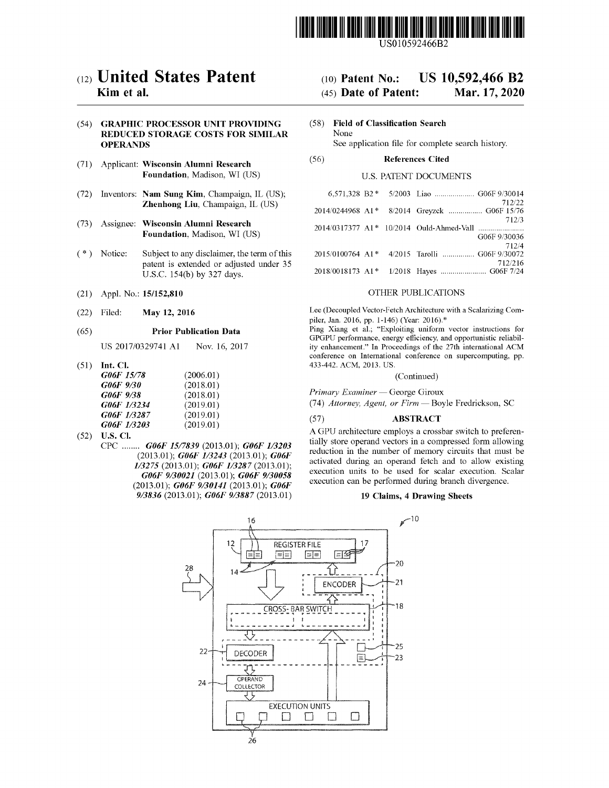

US010592466B2

# c12) **United States Patent**

# **Kim et al.**

# (54) **GRAPHIC PROCESSOR UNIT PROVIDING REDUCED STORAGE COSTS FOR SIMILAR OPERANDS**

- (71) Applicant: **Wisconsin Alumni Research Foundation,** Madison, WI (US)
- (72) Inventors: **Nam Sung Kim,** Champaign, IL (US); **Zhenhong Liu,** Champaign, IL (US)
- (73) Assignee: **Wisconsin Alumni Research Foundation,** Madison, WI (US)
- (\*) Notice: Subject to any disclaimer, the term of this patent is extended or adjusted under 35 U.S.C. 154(b) by 327 days.
- (21) Appl. No.: **15/152,810**
- (22) Filed: **May 12, 2016**

#### (65) **Prior Publication Data**

US 2017/0329741 Al Nov. 16, 2017

(51) **Int. Cl.** 

| G06F 15/78  | (2006.01) |
|-------------|-----------|
| G06F 9/30   | (2018.01) |
| G06F 9/38   | (2018.01) |
| G06F 1/3234 | (2019.01) |
| G06F 1/3287 | (2019.01) |
| G06F 1/3203 | (2019.01) |

- (52) **U.S. Cl.** 
	- CPC ........ *G06F 1517839* (2013.01); *G06F 113203*  (2013.01); *G06F 113243* (2013.01); *G06F 113275* (2013.01); *G06F 113287* (2013.01); *G06F 9/30021* (2013.01); *G06F 9/30058*  (2013.01); *G06F 9/30141* (2013.01); *G06F 9/3836* (2013.01); *G06F 9/3887* (2013.01)

#### (IO) **Patent No.: US 10,592,466 B2**

#### (45) **Date of Patent: Mar.17,2020**

(58) **Field of Classification Search**  None See application file for complete search history.

(56) **References Cited** 

# U.S. PATENT DOCUMENTS

| 712/22                                        |
|-----------------------------------------------|
| 2014/0244968 A1* 8/2014 Greyzck  G06F 15/76   |
| 712/3                                         |
| G06F 9/30036                                  |
| 712/4                                         |
| 2015/0100764 A1* 4/2015 Tarolli  G06F 9/30072 |
| 712/216                                       |
|                                               |

#### OTHER PUBLICATIONS

Lee (Decoupled Vector-Fetch Architecture with a Scalarizing Compiler, Jan. 2016, pp. 1-146) (Year: 2016).\*

Ping Xiang et al.; "Exploiting uniform vector instructions for GPGPU performance, energy efficiency, and opportunistic reliability enhancement." In Proceedings of the 27th international ACM conference on International conference on supercomputing, pp. 433-442. ACM, 2013. US.

(Continued)

# *Primary Examiner* - George Giroux

(74) *Attorney, Agent, or Firm* - Boyle Fredrickson, SC

### (57) **ABSTRACT**

A GPU architecture employs a crossbar switch to preferentially store operand vectors in a compressed form allowing reduction in the number of memory circuits that must be activated during an operand fetch and to allow existing execution units to be used for scalar execution. Scalar execution can be performed during branch divergence.

# **19 Claims, 4 Drawing Sheets**

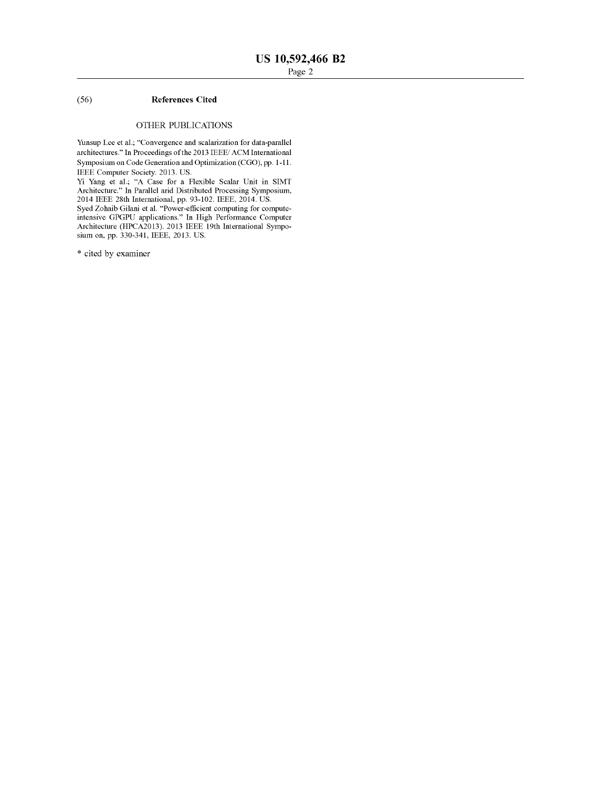# (56) **References Cited**

# OTHER PUBLICATIONS

Yunsup Lee et al.; "Convergence and scalarization for data-parallel architectures." In Proceedings of the 2013 IEEE/ ACM International Symposium on Code Generation and Optimization (CGO), pp. 1-11. IEEE Computer Society. 2013. US.

Yi Yang et al.; "A Case for a Flexible Scalar Unit in SIMT Architecture." In Parallel arid Distributed Processing Symposium, 2014 IEEE 28th International, pp. 93-102. IEEE, 2014. US.

Syed Zohaib Gilani et al. "Power-efficient computing for computeintensive GPGPU applications." In High Performance Computer Architecture (HPCA2013). 2013 IEEE 19th International Symposium on, pp. 330-341, IEEE, 2013. US.

\* cited by examiner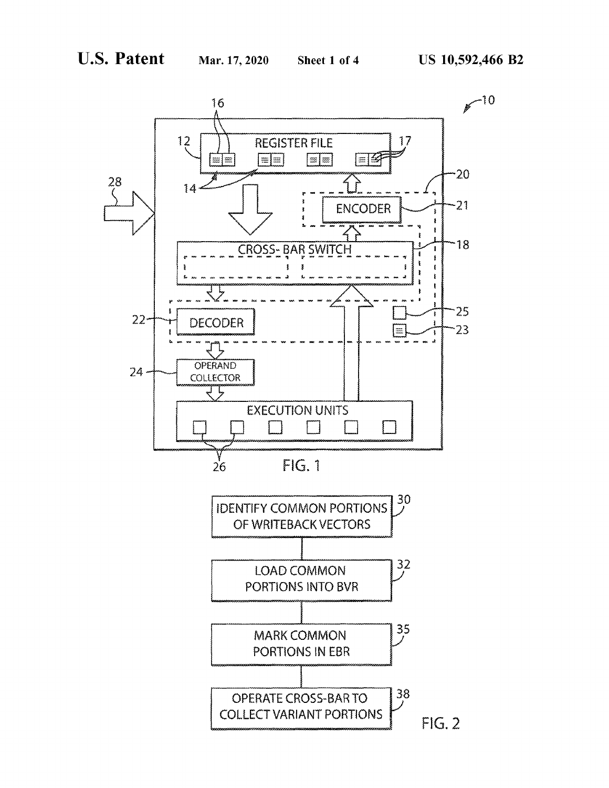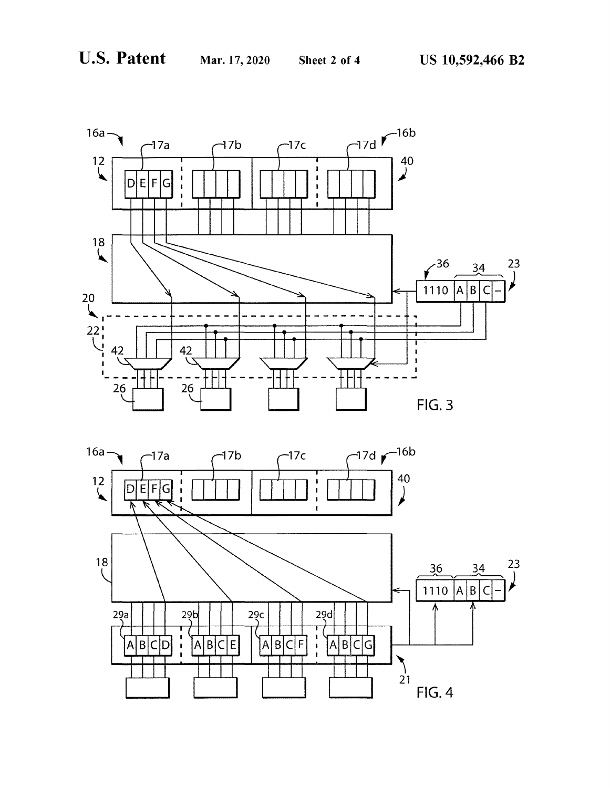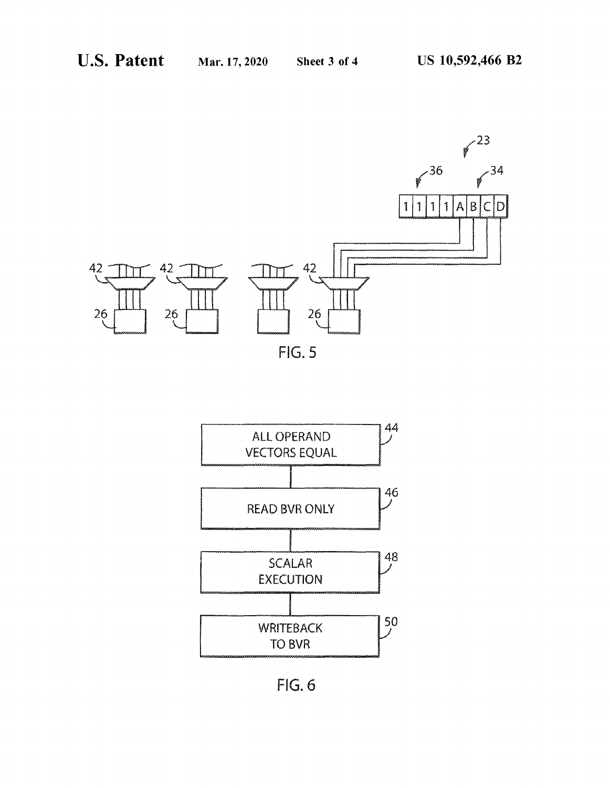

FIG. 5



FIG. 6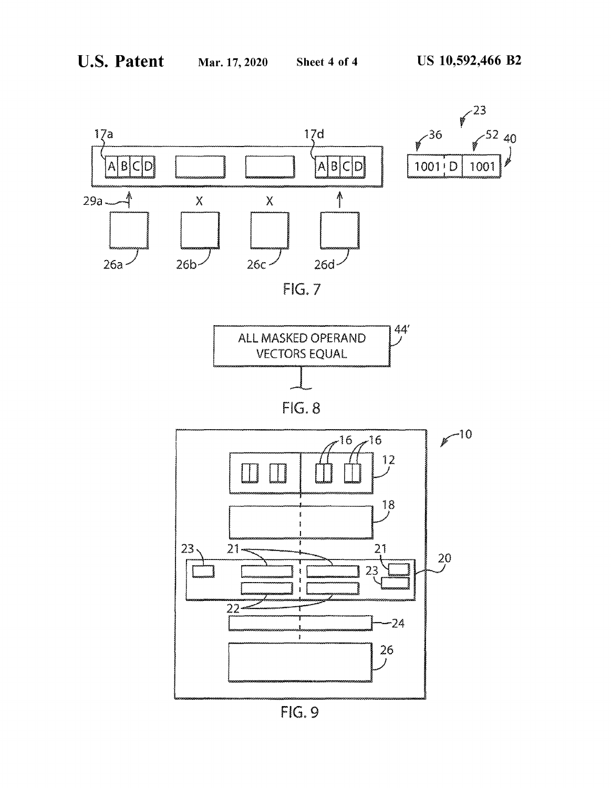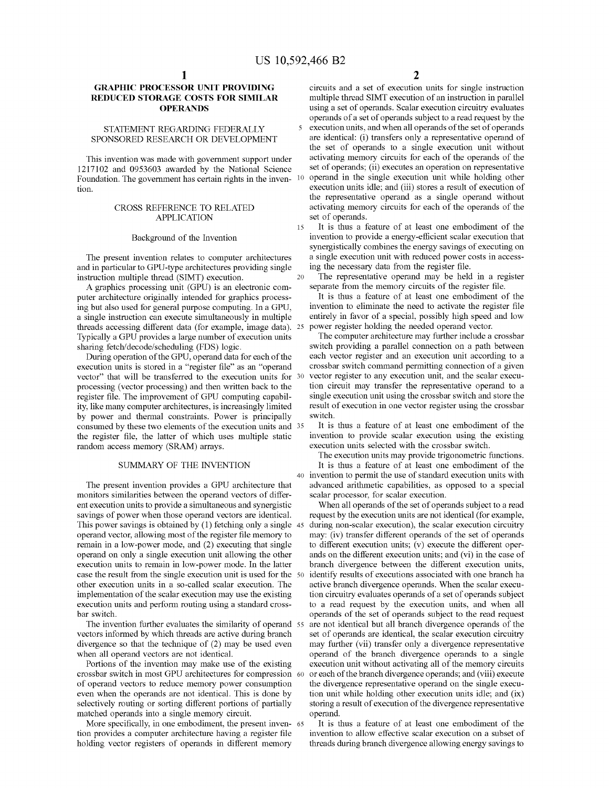# **GRAPHIC PROCESSOR UNIT PROVIDING REDUCED STORAGE COSTS FOR SIMILAR OPERANDS**

# STATEMENT REGARDING FEDERALLY SPONSORED RESEARCH OR DEVELOPMENT

This invention was made with government support under 1217102 and 0953603 awarded by the National Science Foundation. The government has certain rights in the inven- <sup>10</sup> tion.

### CROSS REFERENCE TO RELATED APPLICATION

#### Background of the Invention

The present invention relates to computer architectures and in particular to GPU-type architectures providing single

A graphics processing unit (GPU) is an electronic computer architecture originally intended for graphics processing but also used for general purpose computing. In a GPU, a single instruction can execute simultaneously in multiple threads accessing different data (for example, image data). 25 Typically a GPU provides a large number of execution units sharing fetch/decode/scheduling (FDS) logic.

During operation of the GPU, operand data for each of the execution units is stored in a "register file" as an "operand vector" that will be transferred to the execution units for 30 processing (vector processing) and then written back to the register file. The improvement of GPU computing capability, like many computer architectures, is increasingly limited by power and thermal constraints. Power is principally consumed by these two elements of the execution units and 35 the register file, the latter of which uses multiple static random access memory (SRAM) arrays.

# SUMMARY OF THE INVENTION

The present invention provides a GPU architecture that monitors similarities between the operand vectors of different execution units to provide a simultaneous and synergistic savings of power when those operand vectors are identical. This power savings is obtained by (1) fetching only a single 45 operand vector, allowing most of the register file memory to remain in a low-power mode, and (2) executing that single operand on only a single execution unit allowing the other execution units to remain in low-power mode. In the latter case the result from the single execution unit is used for the other execution units in a so-called scalar execution. The implementation of the scalar execution may use the existing execution units and perform routing using a standard crossbar switch.

The invention further evaluates the similarity of operand 55 vectors informed by which threads are active during branch divergence so that the technique of (2) may be used even when all operand vectors are not identical.

Portions of the invention may make use of the existing crossbar switch in most GPU architectures for compression of operand vectors to reduce memory power consumption even when the operands are not identical. This is done by selectively routing or sorting different portions of partially matched operands into a single memory circuit.

More specifically, in one embodiment, the present inven- 65 tion provides a computer architecture having a register file holding vector registers of operands in different memory

circuits and a set of execution units for single instruction multiple thread SIMT execution of an instruction in parallel using a set of operands. Scalar execution circuitry evaluates operands of a set of operands subject to a read request by the 5 execution units, and when all operands of the set of operands are identical: (i) transfers only a representative operand of the set of operands to a single execution unit without activating memory circuits for each of the operands of the set of operands; (ii) executes an operation on representative operand in the single execution unit while holding other execution units idle; and (iii) stores a result of execution of the representative operand as a single operand without activating memory circuits for each of the operands of the set of operands.

<sup>15</sup>It is thus a feature of at least one embodiment of the invention to provide a energy-efficient scalar execution that synergistically combines the energy savings of executing on a single execution unit with reduced power costs in accessing the necessary data from the register file.

instruction multiple thread (SIMT) execution. 20 The representative operand may be held in a register A graphics processing unit (GPU) is an electronic com-<br>A graphics processing unit (GPU) is an electronic com-

It is thus a feature of at least one embodiment of the invention to eliminate the need to activate the register file entirely in favor of a special, possibly high speed and low power register holding the needed operand vector.

The computer architecture may further include a crossbar switch providing a parallel connection on a path between each vector register and an execution unit according to a crossbar switch command permitting connection of a given vector register to any execution unit, and the scalar execution circuit may transfer the representative operand to a single execution unit using the crossbar switch and store the result of execution in one vector register using the crossbar switch.

It is thus a feature of at least one embodiment of the invention to provide scalar execution using the existing execution units selected with the crossbar switch.

The execution units may provide trigonometric functions. It is thus a feature of at least one embodiment of the 40 invention to permit the use of standard execution units with advanced arithmetic capabilities, as opposed to a special scalar processor, for scalar execution.

When all operands of the set of operands subject to a read request by the execution units are not identical (for example, during non-scalar execution), the scalar execution circuitry may: (iv) transfer different operands of the set of operands to different execution units; (v) execute the different operands on the different execution units; and (vi) in the case of branch divergence between the different execution units, identify results of executions associated with one branch ha active branch divergence operands. When the scalar execution circuitry evaluates operands of a set of operands subject to a read request by the execution units, and when all operands of the set of operands subject to the read request are not identical but all branch divergence operands of the set of operands are identical, the scalar execution circuitry may further (vii) transfer only a divergence representative operand of the branch divergence operands to a single execution unit without activating all of the memory circuits or each of the branch divergence operands; and (viii) execute the divergence representative operand on the single execution unit while holding other execution units idle; and (ix) storing a result of execution of the divergence representative operand.

It is thus a feature of at least one embodiment of the invention to allow effective scalar execution on a subset of threads during branch divergence allowing energy savings to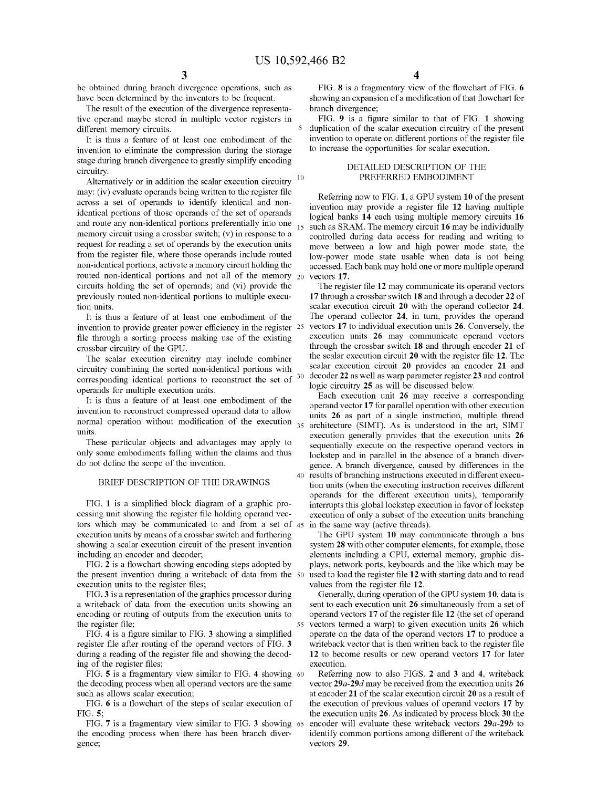be obtained during branch divergence operations, such as have been determined by the inventors to be frequent.

The result of the execution of the divergence representative operand maybe stored in multiple vector registers in different memory circuits.

It is thus a feature of at least one embodiment of the invention to eliminate the compression during the storage stage during branch divergence to greatly simplify encoding circuitry.

Alternatively or in addition the scalar execution circuitry may: (iv) evaluate operands being written to the register file across a set of operands to identify identical and nonidentical portions of those operands of the set of operands and route any non-identical portions preferentially into one memory circuit using a crossbar switch; (v) in response to a request for reading a set of operands by the execution units from the register file, where those operands include routed non-identical portions, activate a memory circuit holding the routed non-identical portions and not all of the memory 20 circuits holding the set of operands; and (vi) provide the previously routed non-identical portions to multiple execution units.

invention to provide greater power efficiency in the register <sup>25</sup> file through a sorting process making use of the existing crossbar circuitry of the GPU.

The scalar execution circuitry may include combiner circuitry combining the sorted non-identical portions with corresponding identical portions to reconstruct the set of operands for multiple execution units.

It is thus a feature of at least one embodiment of the invention to reconstruct compressed operand data to allow normal operation without modification of the execution 35 units.

These particular objects and advantages may apply to only some embodiments falling within the claims and thus do not define the scope of the invention.

# BRIEF DESCRIPTION OF THE DRAWINGS

FIG. **1** is a simplified block diagram of a graphic processing unit showing the register file holding operand vectors which may be communicated to and from a set of 45 execution units by means of a crossbar switch and furthering showing a scalar execution circuit of the present invention including an encoder and decoder;

FIG. **2** is a flowchart showing encoding steps adopted by the present invention during a writeback of data from the execution units to the register files;

FIG. **3** is a representation of the graphics processor during a writeback of data from the execution units showing an encoding or routing of outputs from the execution units to the register file;

FIG. **4** is a figure similar to FIG. **3** showing a simplified register file after routing of the operand vectors of FIG. **3**  during a reading of the register file and showing the decoding of the register files;

FIG. **5** is a fragmentary view similar to FIG. **4** showing 60 the decoding process when all operand vectors are the same such as allows scalar execution;

FIG. **6** is a flowchart of the steps of scalar execution of FIG. **5;** 

FIG. **7** is a fragmentary view similar to FIG. **3** showing the encoding process when there has been branch divergence;

FIG. **8** is a fragmentary view of the flowchart of FIG. **6**  showing an expansion of a modification of that flowchart for branch divergence;

FIG. **9** is a figure similar to that of FIG. **1** showing duplication of the scalar execution circuitry of the present invention to operate on different portions of the register file to increase the opportunities for scalar execution.

### DETAILED DESCRIPTION OF THE PREFERRED EMBODIMENT

Referring now to FIG. **1,** a GPU system **10** of the present invention may provide a register file **12** having multiple logical banks **14** each using multiple memory circuits **16**  such as SRAM. The memory circuit **16** may be individually controlled during data access for reading and writing to move between a low and high power mode state, the low-power mode state usable when data is not being accessed. Each bank may hold one or more multiple operand vectors **17.** 

The register file **12** may communicate its operand vectors **17** through a crossbar switch **18** and through a decoder **22** of scalar execution circuit **20** with the operand collector **24.**  It is thus a feature of at least one embodiment of the The operand collector **24,** in tum, provides the operand 25 vectors **17** to individual execution units **26.** Conversely, the execution units **26** may communicate operand vectors through the crossbar switch **18** and through encoder **21** of the scalar execution circuit **20** with the register file **12.** The scalar execution circuit **20** provides an encoder **21** and 30 decoder **22** as well as warp parameter register **23** and control logic circuitry **25** as will be discussed below.

> Each execution unit **26** may receive a corresponding operand vector **17** for parallel operation with other execution units **26** as part of a single instruction, multiple thread architecture (SIMT). As is understood in the art, SIMT execution generally provides that the execution units 26 sequentially execute on the respective operand vectors in lockstep and in parallel in the absence of a branch divergence. A branch divergence, caused by differences in the 40 results of branching instructions executed in different execution units (when the executing instruction receives different operands for the different execution units), temporarily interrupts this global lockstep execution in favor of lockstep execution of only a subset of the execution units branching in the same way (active threads).

The GPU system **10** may communicate through a bus system **28** with other computer elements, for example, those elements including a CPU, external memory, graphic displays, network ports, keyboards and the like which may be 50 used to load the register file **12** with starting data and to read values from the register file **12.** 

Generally, during operation of the GPU system **10,** data is sent to each execution unit **26** simultaneously from a set of operand vectors **17** of the register file **12** (the set of operand 55 vectors termed a warp) to given execution units **26** which operate on the data of the operand vectors **17** to produce a writeback vector that is then written back to the register file **12** to become results or new operand vectors **17** for later execution.

Referring now to also FIGS. **2** and **3** and **4,** writeback vector *29a-29d* may be received from the execution units **26**  at encoder **21** of the scalar execution circuit **20** as a result of the execution of previous values of operand vectors **17** by the execution units **26.** As indicated by process block **30** the 65 encoder will evaluate these writeback vectors *29a-29b* to identify common portions among different of the writeback vectors **29.**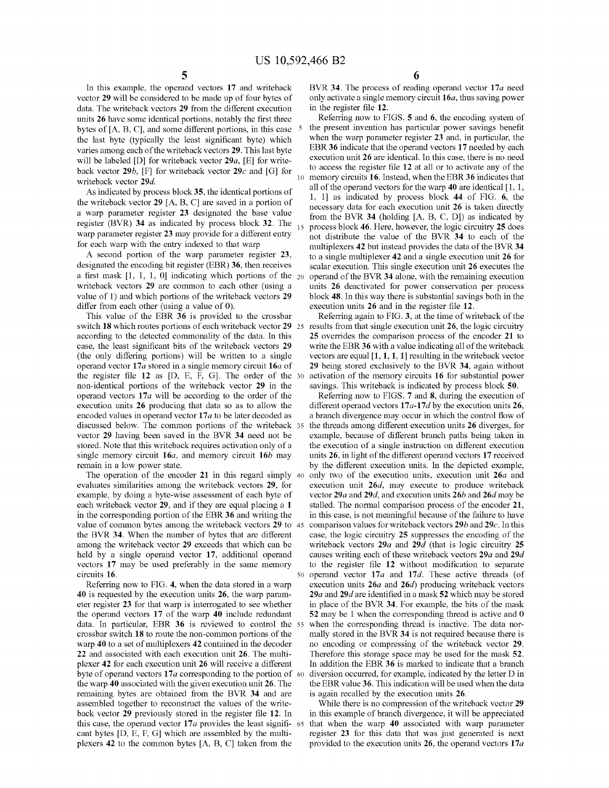In this example, the operand vectors **17** and writeback vector **29** will be considered to be made up of four bytes of data. The writeback vectors **29** from the different execution units **26** have some identical portions, notably the first three bytes of [A, B, C], and some different portions, in this case the last byte (typically the least significant byte) which varies among each of the write back vectors **29.** This last byte will be labeled [D] for writeback vector 29a, [E] for writeback vector  $29b$ , [F] for writeback vector  $29c$  and [G] for writeback vector *29d.* 

As indicated by process block **35,** the identical portions of the writeback vector 29 [A, B, C] are saved in a portion of a warp parameter register **23** designated the base value register (BVR) **34** as indicated by process block **32.** The warp parameter register **23** may provide for a different entry for each warp with the entry indexed to that warp

A second portion of the warp parameter register **23,**  designated the encoding bit register (EBR) **36,** then receives a first mask  $[1, 1, 1, 0]$  indicating which portions of the  $20$ writeback vectors **29** are common to each other (using a value of 1) and which portions of the writeback vectors 29 differ from each other (using a value of 0).

This value of the EBR **36** is provided to the crossbar switch **18** which routes portions of each writeback vector **29** <sup>25</sup> according to the detected commonality of the data. In this case, the least significant bits of the writeback vectors **29**  (the only differing portions) will be written to a single operand vector **17a** stored in a single memory circuit **16a** of the register file  $12$  as  $[D, E, F, G]$ . The order of the 30 non-identical portions of the writeback vector **29** in the operand vectors **17** *a* will be according to the order of the execution units **26** producing that data so as to allow the encoded values in operand vector 17*a* to be later decoded as discussed below. The common portions of the writeback 35 vector **29** having been saved in the BVR **34** need not be stored. Note that this writeback requires activation only of a single memory circuit **16a,** and memory circuit **16b** may remain in a low power state.

The operation of the encoder **21** in this regard simply 40 evaluates similarities among the writeback vectors **29,** for example, by doing a byte-wise assessment of each byte of each writeback vector **29,** and if they are equal placing a **1**  in the corresponding portion of the EBR **36** and writing the value of common bytes among the writeback vectors **29** to 45 the BVR **34.** When the number of bytes that are different among the writeback vector **29** exceeds that which can be held by a single operand vector **17,** additional operand vectors **17** may be used preferably in the same memory circuits **16.** 50 operand vector **17a** and **17d.** These active threads (of

Referring now to FIG. **4,** when the data stored in a warp **40** is requested by the execution units **26,** the warp parameter register **23** for that warp is interrogated to see whether the operand vectors **17** of the warp **40** include redundant data. In particular, EBR **36** is reviewed to control the crossbar switch **18** to route the non-common portions of the warp **40** to a set of multiplexers **42** contained in the decoder **22** and associated with each execution unit **26.** The multiplexer **42** for each execution unit **26** will receive a different byte of operand vectors 17*a* corresponding to the portion of 60 the warp **40** associated with the given execution unit **26.** The remaining bytes are obtained from the BVR **34** and are assembled together to reconstruct the values of the writeback vector **29** previously stored in the register file **12.** In this case, the operand vector **17a** provides the least signifi- 65 cant bytes [D, E, F, G] which are assembled by the multiplexers **42** to the common bytes [A, B, CJ taken from the

**5 6** 

BVR **34.** The process of reading operand vector **17a** need only activate a single memory circuit **16a,** thus saving power in the register file **12.** 

Referring now to FIGS. **5** and **6,** the encoding system of the present invention has particular power savings benefit when the warp parameter register **23** and, in particular, the EBR **36** indicate that the operand vectors **17** needed by each execution unit **26** are identical. In this case, there is no need to access the register file **12** at all or to activate any of the 10 memory circuits **16.** Instead, when the EBR **36** indicates that all of the operand vectors for the warp **40** are identical [ 1, 1, 1, lJ as indicated by process block **44** of FIG. **6,** the necessary data for each execution unit **26** is taken directly from the BVR **34** (holding [A, B, C, DJ) as indicated by 15 process block **46.** Here, however, the logic circuitry **25** does not distribute the value of the BVR **34** to each of the multiplexers **42** but instead provides the data of the BVR **34**  to a single multiplexer **42** and a single execution unit **26** for scalar execution. This single execution unit **26** executes the operand of the BVR **34** alone, with the remaining execution units **26** deactivated for power conservation per process block **48.** In this way there is substantial savings both in the execution units **26** and in the register file **12.** 

Referring again to FIG. 3, at the time of writeback of the results from that single execution unit **26,** the logic circuitry **25** overrides the comparison process of the encoder **21** to write the EBR **36** with a value indicating all of the writeback vectors are equal  $[1, 1, 1, 1]$  resulting in the writeback vector **29** being stored exclusively to the BVR **34,** again without activation of the memory circuits **16** for substantial power savings. This writeback is indicated by process block **50.** 

Referring now to FIGS. **7** and **8,** during the execution of different operand vectors  $17a-17d$  by the execution units  $26$ , a branch divergence may occur in which the control flow of the threads among different execution units **26** diverges, for example, because of different branch paths being taken in the execution of a single instruction on different execution units **26,** in light of the different operand vectors **17** received by the different execution units. In the depicted example, only two of the execution units, execution unit *26a* and execution unit *26d,* may execute to produce writeback vector *29a* and *29d,* and execution units *26b* and *26d* may be stalled. The normal comparison process of the encoder **21,**  in this case, is not meaningful because of the failure to have comparison values for write back vectors *29b* and **29c.** In this case, the logic circuitry **25** suppresses the encoding of the writeback vectors *29a* and *29d* (that is logic circuitry **25**  causes writing each of these writeback vectors *29a* and *29d*  to the register file **12** without modification to separate execution units *26a* and **26d)** producing writeback vectors *29a* and *29d* are identified in a mask **52** which may be stored in place of the BVR **34.** For example, the bits of the mask **52** may be 1 when the corresponding thread is active and 0 when the corresponding thread is inactive. The data normally stored in the BVR **34** is not required because there is no encoding or compressing of the writeback vector **29.**  Therefore this storage space may be used for the mask **52.**  In addition the EBR **36** is marked to indicate that a branch diversion occurred, for example, indicated by the letter D in the EBR value **36.** This indication will be used when the data is again recalled by the execution units **26.** 

While there is no compression of the writeback vector **29**  in this example of branch divergence, it will be appreciated that when the warp **40** associated with warp parameter register **23** for this data that was just generated is next provided to the execution units **26,** the operand vectors **17** *a*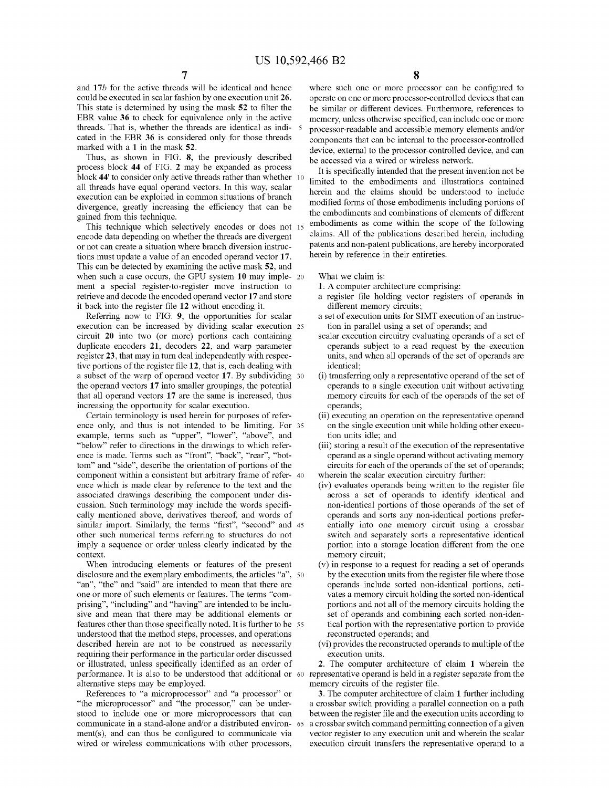and **17b** for the active threads will be identical and hence could be executed in scalar fashion by one execution unit **26.**  This state is determined by using the mask **52** to filter the EBR value **36** to check for equivalence only in the active threads. That is, whether the threads are identical as indicated in the EBR **36** is considered only for those threads marked with a **1** in the mask **52.** 

Thus, as shown in FIG. **8,** the previously described process block **44** of FIG. **2** may be expanded as process block 44' to consider only active threads rather than whether 10 all threads have equal operand vectors. In this way, scalar execution can be exploited in common situations of branch divergence, greatly increasing the efficiency that can be gained from this technique.

This technique which selectively encodes or does not 15 encode data depending on whether the threads are divergent or not can create a situation where branch diversion instructions must update a value of an encoded operand vector **17.**  This can be detected by examining the active mask **52,** and when such a case occurs, the GPU system **10** may imple- 20 ment a special register-to-register move instruction to retrieve and decode the encoded operand vector **17** and store it back into the register file **12** without encoding it.

Referring now to FIG. **9,** the opportunities for scalar execution can be increased by dividing scalar execution 25 circuit 20 into two (or more) portions each containing duplicate encoders **21,** decoders **22,** and warp parameter register **23,** that may in tum deal independently with respective portions of the register file **12,** that is, each dealing with a subset of the warp of operand vector **17.** By subdividing 30 the operand vectors **17** into smaller groupings, the potential that all operand vectors **17** are the same is increased, thus increasing the opportunity for scalar execution.

Certain terminology is used herein for purposes of reference only, and thus is not intended to be limiting. For 35 example, terms such as "upper", "lower", "above", and "below" refer to directions in the drawings to which reference is made. Terms such as "front", "back", "rear", "bottom" and "side", describe the orientation of portions of the component within a consistent but arbitrary frame of refer- <sup>40</sup> ence which is made clear by reference to the text and the associated drawings describing the component under discussion. Such terminology may include the words specifically mentioned above, derivatives thereof, and words of similar import. Similarly, the terms "first", "second" and 45 other such numerical terms referring to structures do not imply a sequence or order unless clearly indicated by the context.

When introducing elements or features of the present disclosure and the exemplary embodiments, the articles "a", 50 "an", "the" and "said" are intended to mean that there are one or more of such elements or features. The terms "comprising", "including" and "having" are intended to be inclusive and mean that there may be additional elements or features other than those specifically noted. It is further to be 55 understood that the method steps, processes, and operations described herein are not to be construed as necessarily requiring their performance in the particular order discussed or illustrated, unless specifically identified as an order of performance. It is also to be understood that additional or 60 representative operand is held in a register separate from the alternative steps may be employed.

References to "a microprocessor" and "a processor" or "the microprocessor" and "the processor," can be understood to include one or more microprocessors that can communicate in a stand-alone and/or a distributed environ- 65 ment(s), and can thus be configured to communicate via wired or wireless communications with other processors,

**7 8** 

where such one or more processor can be configured to operate on one or more processor-controlled devices that can be similar or different devices. Furthermore, references to memory, unless otherwise specified, can include one or more 5 processor-readable and accessible memory elements and/or components that can be internal to the processor-controlled device, external to the processor-controlled device, and can be accessed via a wired or wireless network.

It is specifically intended that the present invention not be limited to the embodiments and illustrations contained herein and the claims should be understood to include modified forms of those embodiments including portions of the embodiments and combinations of elements of different embodiments as come within the scope of the following claims. All of the publications described herein, including patents and non-patent publications, are hereby incorporated herein by reference in their entireties.

What we claim is:

- **1.** A computer architecture comprising:
- a register file holding vector registers of operands in different memory circuits;
- a set of execution units for SIMT execution of an instruction in parallel using a set of operands; and
- scalar execution circuitry evaluating operands of a set of operands subject to a read request by the execution units, and when all operands of the set of operands are identical;
- (i) transferring only a representative operand of the set of operands to a single execution unit without activating memory circuits for each of the operands of the set of operands;
- (ii) executing an operation on the representative operand on the single execution unit while holding other execution units idle; and
- (iii) storing a result of the execution of the representative operand as a single operand without activating memory circuits for each of the operands of the set of operands; wherein the scalar execution circuitry further:
- (iv) evaluates operands being written to the register file across a set of operands to identify identical and non-identical portions of those operands of the set of operands and sorts any non-identical portions preferentially into one memory circuit using a crossbar switch and separately sorts a representative identical portion into a storage location different from the one memory circuit;
- (v) in response to a request for reading a set of operands by the execution units from the register file where those operands include sorted non-identical portions, activates a memory circuit holding the sorted non-identical portions and not all of the memory circuits holding the set of operands and combining each sorted non-identical portion with the representative portion to provide reconstructed operands; and
- (vi) provides the reconstructed operands to multiple of the execution units.

**2.** The computer architecture of claim **1** wherein the memory circuits of the register file.

**3.** The computer architecture of claim **1** further including a crossbar switch providing a parallel connection on a path between the register file and the execution units according to a crossbar switch command permitting connection of a given vector register to any execution unit and wherein the scalar execution circuit transfers the representative operand to a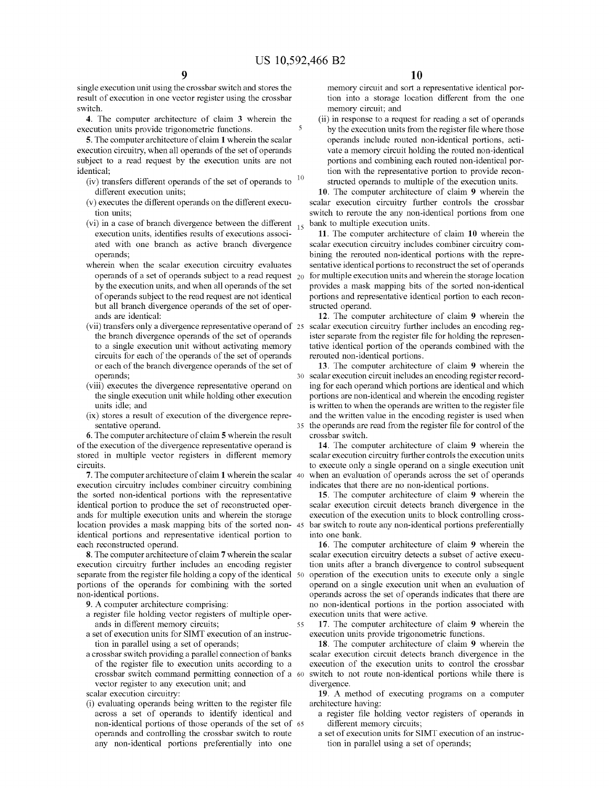single execution unit using the crossbar switch and stores the result of execution in one vector register using the crossbar switch.

**4.** The computer architecture of claim **3** wherein the execution units provide trigonometric functions.

**5.** The computer architecture of claim **1** wherein the scalar execution circuitry, when all operands of the set of operands subject to a read request by the execution units are not identical;

- 
- (v) executes the different operands on the different execution units;
- (vi) in a case of branch divergence between the different  $_{15}$ execution units, identifies results of executions associated with one branch as active branch divergence operands;
- wherein when the scalar execution circuitry evaluates operands of a set of operands subject to a read request  $_{20}$ by the execution units, and when all operands of the set of operands subject to the read request are not identical but all branch divergence operands of the set of operands are identical:
- (vii) transfers only a divergence representative operand of the branch divergence operands of the set of operands to a single execution unit without activating memory circuits for each of the operands of the set of operands or each of the branch divergence operands of the set of operands;
- (viii) executes the divergence representative operand on the single execution unit while holding other execution units idle; and
- (ix) stores a result of execution of the divergence representative operand.

**6.** The computer architecture of claim **5** wherein the result of the execution of the divergence representative operand is stored in multiple vector registers in different memory circuits.

**7.** The computer architecture of claim **1** wherein the scalar execution circuitry includes combiner circuitry combining the sorted non-identical portions with the representative identical portion to produce the set of reconstructed operands for multiple execution units and wherein the storage location provides a mask mapping bits of the sorted non-45 identical portions and representative identical portion to each reconstructed operand.

**8.** The computer architecture of claim **7** wherein the scalar execution circuitry further includes an encoding register separate from the register file holding a copy of the identical 50 portions of the operands for combining with the sorted non-identical portions.

- **9.** A computer architecture comprising:
- a register file holding vector registers of multiple operands in different memory circuits;

55

- a set of execution units for SIMT execution of an instruction in parallel using a set of operands;
- a crossbar switch providing a parallel connection of banks of the register file to execution units according to a crossbar switch command permitting connection of a 60 vector register to any execution unit; and
- scalar execution circuitry:
- (i) evaluating operands being written to the register file across a set of operands to identify identical and non-identical portions of those operands of the set of 65 operands and controlling the crossbar switch to route any non-identical portions preferentially into one

memory circuit and sort a representative identical portion into a storage location different from the one memory circuit; and

(ii) in response to a request for reading a set of operands by the execution units from the register file where those operands include routed non-identical portions, activate a memory circuit holding the routed non-identical portions and combining each routed non-identical portion with the representative portion to provide recon- (iv) transfers different operands of the set of operands to  $10$  structed operands to multiple of the execution units.

different execution units; **10.** The computer architecture of claim **9** wherein the scalar execution circuitry further controls the crossbar switch to reroute the any non-identical portions from one bank to multiple execution units.

> **11.** The computer architecture of claim **10** wherein the scalar execution circuitry includes combiner circuitry combining the rerouted non-identical portions with the representative identical portions to reconstruct the set of operands for multiple execution units and wherein the storage location provides a mask mapping bits of the sorted non-identical portions and representative identical portion to each reconstructed operand.

> **12.** The computer architecture of claim **9** wherein the scalar execution circuitry further includes an encoding register separate from the register file for holding the representative identical portion of the operands combined with the rerouted non-identical portions.

> **13.** The computer architecture of claim **9** wherein the scalar execution circuit includes an encoding register recording for each operand which portions are identical and which portions are non-identical and wherein the encoding register is written to when the operands are written to the register file and the written value in the encoding register is used when the operands are read from the register file for control of the crossbar switch.

> **14.** The computer architecture of claim **9** wherein the scalar execution circuitry further controls the execution units to execute only a single operand on a single execution unit when an evaluation of operands across the set of operands indicates that there are no non-identical portions.

> **15.** The computer architecture of claim **9** wherein the scalar execution circuit detects branch divergence in the execution of the execution units to block controlling crossbar switch to route any non-identical portions preferentially into one bank.

> **16.** The computer architecture of claim **9** wherein the scalar execution circuitry detects a subset of active execution units after a branch divergence to control subsequent operation of the execution units to execute only a single operand on a single execution unit when an evaluation of operands across the set of operands indicates that there are no non-identical portions in the portion associated with execution units that were active.

> **17.** The computer architecture of claim **9** wherein the execution units provide trigonometric functions.

> **18.** The computer architecture of claim **9** wherein the scalar execution circuit detects branch divergence in the execution of the execution units to control the crossbar switch to not route non-identical portions while there is divergence.

> **19.** A method of executing programs on a computer architecture having:

- a register file holding vector registers of operands in different memory circuits;
- a set of execution units for SIMT execution of an instruction in parallel using a set of operands;